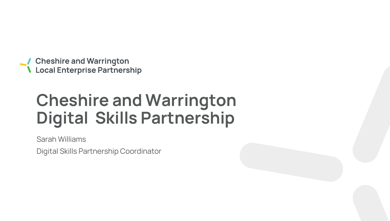**Cheshire and Warrington<br>Local Enterprise Partnership** 

# **Cheshire and Warrington Digital Skills Partnership**

**Sarah Williams**

**Digital Skills Partnership Coordinator**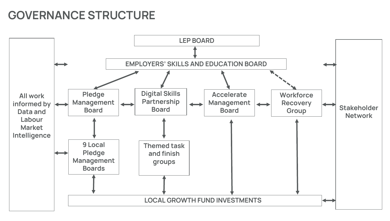## **GOVERNANCE STRUCTURE**

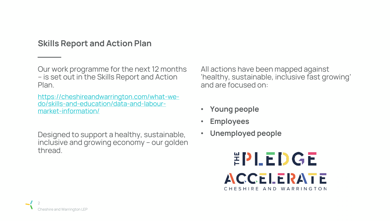### **Skills Report and Action Plan**

**Our work programme for the next 12 months – is set out in the Skills Report and Action Plan.** 

**Designed to support a healthy, sustainable, inclusive and growing economy – our golden thread.**

**All actions have been mapped against 'healthy, sustainable, inclusive fast growing' and are focused on:** 

- **Young people**
- **Employees**
- **Unemployed people**



**[https://cheshireandwarrington.com/what-we](https://cheshireandwarrington.com/what-we-do/skills-and-education/data-and-labour-market-information/)do/skills-and-education/data-and-labourmarket-information/**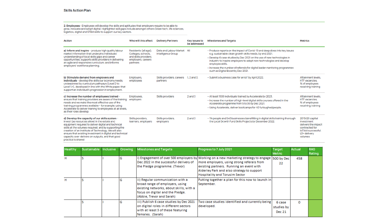## **2. Employees -** Employees will develop the skills and aptitudes that employers require to be able to<br>grow, innovate and adopt digital. Highlighted skill gaps include amongst others Green tech, life sciences,<br>logistics, di

| <b>Action</b>                                                                                                                                                                                                                                                                                                                                                                                                 | Who will this affect                                                                                  | <b>Delivery Partners</b>                     | <b>Key Issues to</b><br>be addressed | <b>Milestones and Targets</b>                                                                                                                                                                                                                                                                                                                                                                                                   | <b>Metrics</b>                                                                                                           |
|---------------------------------------------------------------------------------------------------------------------------------------------------------------------------------------------------------------------------------------------------------------------------------------------------------------------------------------------------------------------------------------------------------------|-------------------------------------------------------------------------------------------------------|----------------------------------------------|--------------------------------------|---------------------------------------------------------------------------------------------------------------------------------------------------------------------------------------------------------------------------------------------------------------------------------------------------------------------------------------------------------------------------------------------------------------------------------|--------------------------------------------------------------------------------------------------------------------------|
| a) Inform and inspire - produce high quality labour<br>market information that underpins individuals'<br>understanding of local skills gaps and career<br>opportunities; supports skills providers in delivering<br>an agile and responsive curriculum; and informs<br>employers' workforce planning.                                                                                                         | Residents (all age);<br>Colleges, schools,<br>and skills providers;<br>employers; careers<br>partners | Data and Labour Market<br>Intelligence Group | All                                  | • Produce reports on the impact of Covid-19 and deep dives into key issues<br>e.g. sustainable clean growth skills needs, by end 2021.<br>• Develop 6 case studies by Dec 2021 on the use of new technologies in<br>industry to inspire employers to adopt new technologies and develop<br>employee skills.<br>· Increase the number of referrals for digital leader mentoring programmes<br>such as Digital Boost by Dec 2021. |                                                                                                                          |
| b) Stimulate demand from employers and<br>individuals - develop the skills our economy needs,<br>underpinned by curriculum pathways (Level 2 to<br>Level 4+), developed in line with the White paper, that<br>support an individual's progression in employment.                                                                                                                                              | Employers,<br>employees                                                                               | Skills providers, careers<br>partners        | $1, 2$ and $3$ .                     | · Submit a business case for an IoT by April 2022.                                                                                                                                                                                                                                                                                                                                                                              | Attainment levels.<br><b>HTF</b> vacancies,<br>% of employees<br>receiving training                                      |
| c) Increase the number of employees trained -<br>ensure that training providers are aware of the training<br>needs and we make the most effective use of the<br>training programmes available - for example, using<br>Accelerate to deliver training to employees at all levels,<br>as their roles develop.                                                                                                   | Employees,<br>employers                                                                               | Skills providers                             | $2$ and $3$                          | . At least 1500 individuals trained by Accelerate by 2023.<br>· Increase the number of high-level digital skills courses offered in the<br>Accelerate programme from 5 to 30 by Dec 2021.<br>· Using Accelerate, deliver bootcamps for 40 furloughed people.                                                                                                                                                                    | Attainment levels.<br><b>HTF</b> vacancies.<br>% of employees<br>receiving training                                      |
| d) Develop the capacity of our skills system -<br>invest (as resources allow) in the estate and<br>equipment required to deliver digital and technical<br>skills at the volumes required; and by supporting the<br>creation of an Institute of Technology. We will also<br>ensure that existing investment in digital and technical<br>capacity over-delivers on outputs, and that good<br>practice is shared | Skills providers,<br>learners, employers                                                              | Skills providers,<br>employers               | $2$ and $3$                          | . 11k people and 540 businesses benefitting in digital skills training thorough<br>the Local Growth Fund Skills Projects by December 2022.                                                                                                                                                                                                                                                                                      | 2019/20 capital<br>investment<br>delivers the impact<br>contracted for<br>loT bid successful.<br>L3+ delivery<br>volumes |

| Healthy | Sustainable Inclusive | Growing | <b>Milestones and Targets</b>                                                                                                                                                   | Progress to 7 July 2021                                                                                                                                                                                                                                                     | Target<br><b>Metric</b>               | Actual | <b>RAG</b><br>Rating |
|---------|-----------------------|---------|---------------------------------------------------------------------------------------------------------------------------------------------------------------------------------|-----------------------------------------------------------------------------------------------------------------------------------------------------------------------------------------------------------------------------------------------------------------------------|---------------------------------------|--------|----------------------|
| н       |                       | G       | Dec 2022 in the successful delivery of<br>the Pledge programme. (Trevor)                                                                                                        | i) Engagement of over 500 employers by Working on a new marketing strategy to engage   500 by Dec<br>more employers, using strong referals from<br>existing partners. Running an event with<br>Alderley Park and also strategy to support<br>Hospitality and Torusim Sector | 22                                    | 458    |                      |
| н       |                       | G       | ii) Regular communication with a<br>broad range of employers, using<br>existing networks, about skills, with a<br>focus on digital and the Pledge.<br>(Abbie, Trevor and Sarah) | Putting together a plan for this now to launch in<br>September.                                                                                                                                                                                                             |                                       |        |                      |
|         |                       | G       | iii) Publish 6 case studies by Dec 2021<br>on digital roles in different sectors<br>with at least 3 of these featuring<br>females. (Sarah)                                      | Two case studies identified and currently being<br>developed.                                                                                                                                                                                                               | 6 case<br>studies by<br><b>Dec 21</b> | o      |                      |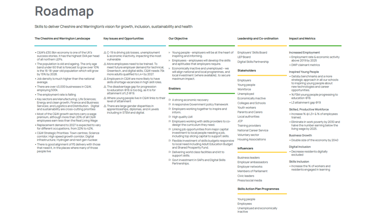## Roadmap

#### Skills to deliver Cheshire and Warrington's vision for growth, inclusion, sustainability and health

| > Young people - employers will be at the heart of<br>inspiring and informing.<br>> Employees - employees will develop the skills<br>and aptitudes that employers require.<br>$\triangleright$ Economically inactive and unemployed - we<br>will align national and local programmes, and<br>local investment (where available), to secure<br>maximum impact.<br><b>Enablers</b><br>P A strong economic recovery<br>P A responsive Government policy framework<br>P Employers working together to inspire and<br>inform.<br>P High quality LMI<br>P Employers working with skills providers to co-<br>design the curriculum they need.<br>$\triangleright$ Linking job opportunities from major capital<br>investment to local people needing a job,<br>including top slicing capital to support skills.<br>P Flexible investment of skills budgets responsive<br>to local need including Adult Education Budget<br>and Shared Prosperity Fund.<br>P Delivering world class facilities and kit to<br>support skills.<br><b>P</b> Govt investment in SAPs and Digital Skills<br>Partnerships. | <b>Employers' Skills Board</b><br><b>LEP Board</b><br>Digital Skills Partnership<br><b>Stakeholders</b><br><b>Employers</b><br>Young people<br>Workforce<br>Unemployed<br>Economically inactive<br>Colleges and Schools<br>Youth workers<br>Parents and Carers<br>Local authorities<br><b>JCP</b><br><b>Training providers</b><br>National Career Service<br>Voluntary sector<br><b>Housing Associations</b><br><b>Influencers</b><br><b>Business leaders</b><br><b>Employer ambassadors</b><br><b>Employer networks</b><br><b>Members of Parliament</b><br>Civic leaders<br>Press/social media | <b>Increased Employment</b><br>· Employment rate & economic activity<br>above 2019 by 2025<br>• DWP claimant metrics<br><b>Inspired Young People</b><br>· Gatsby benchmarks and a more<br>strategic approach in all our schools<br>to inspiring young people about<br>new technologies and career<br>opportunities.<br>• % FSM young people progressing to<br>education @16<br>• L3 attainment gap @19<br><b>Skilled, Productive Workforce</b><br>• Increase % @ L3+ & % of employees<br>trained.<br>· Eliminate in work poverty by 2030 and<br>halve the number earning below the<br>living wage by 2025.<br><b>Business Growth</b><br>. Double size of the economy by 2040<br><b>Digital Inclusion</b><br>• Decrease residents digitally<br>excluded<br><b>Skills Inclusion</b><br>. Increase the % of workers and<br>residents engaged in learning |
|----------------------------------------------------------------------------------------------------------------------------------------------------------------------------------------------------------------------------------------------------------------------------------------------------------------------------------------------------------------------------------------------------------------------------------------------------------------------------------------------------------------------------------------------------------------------------------------------------------------------------------------------------------------------------------------------------------------------------------------------------------------------------------------------------------------------------------------------------------------------------------------------------------------------------------------------------------------------------------------------------------------------------------------------------------------------------------------------|-------------------------------------------------------------------------------------------------------------------------------------------------------------------------------------------------------------------------------------------------------------------------------------------------------------------------------------------------------------------------------------------------------------------------------------------------------------------------------------------------------------------------------------------------------------------------------------------------|-------------------------------------------------------------------------------------------------------------------------------------------------------------------------------------------------------------------------------------------------------------------------------------------------------------------------------------------------------------------------------------------------------------------------------------------------------------------------------------------------------------------------------------------------------------------------------------------------------------------------------------------------------------------------------------------------------------------------------------------------------------------------------------------------------------------------------------------------------|
|                                                                                                                                                                                                                                                                                                                                                                                                                                                                                                                                                                                                                                                                                                                                                                                                                                                                                                                                                                                                                                                                                              |                                                                                                                                                                                                                                                                                                                                                                                                                                                                                                                                                                                                 |                                                                                                                                                                                                                                                                                                                                                                                                                                                                                                                                                                                                                                                                                                                                                                                                                                                       |

#### **Skills Action Plan Programmes**

Young people Employees Unemployed and economically inactive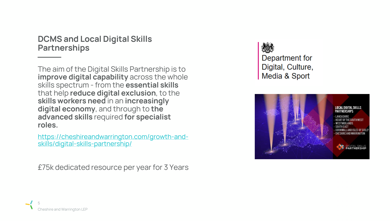**DCMS and Local Digital Skills Partnerships**

**The aim of the Digital Skills Partnership is to improve digital capability across the whole skills spectrum - from the essential skills that help reduce digital exclusion, to the skills workers need in an increasingly digital economy, and through to the advanced skills required for specialist roles.**

**[https://cheshireandwarrington.com/growth-and](https://cheshireandwarrington.com/growth-and-skills/digital-skills-partnership/)skills/digital-skills-partnership/**

**£75k dedicated resource per year for 3 Years**

Department for Digital, Culture, Media & Sport



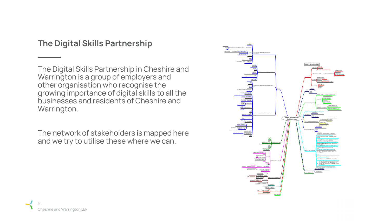## **The Digital Skills Partnership**

**The Digital Skills Partnership in Cheshire and Warrington is a group of employers and other organisation who recognise the growing importance of digital skills to all the businesses and residents of Cheshire and Warrington.**

**The network of stakeholders is mapped here and we try to utilise these where we can.**

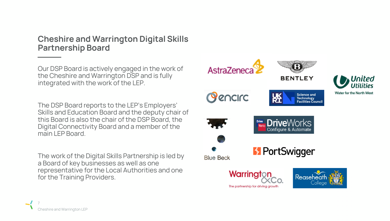### **Cheshire and Warrington Digital Skills Partnership Board**

**Our DSP Board is actively engaged in the work of the Cheshire and Warrington DSP and is fully integrated with the work of the LEP.** 

**The DSP Board reports to the LEP's Employers' Skills and Education Board and the deputy chair of this Board is also the chair of the DSP Board, the Digital Connectivity Board and a member of the main LEP Board.** 

**The work of the Digital Skills Partnership is led by a Board of key businesses as well as one representative for the Local Authorities and one for the Training Providers.** 

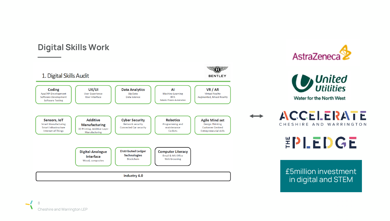## **Digital Skills Work**







**Water for the North West** 

 $\begin{array}{c}\n\longleftrightarrow\\
\end{array}$ 

**ACCELERATE** CHESHIRE AND WARRINGTON

EPLEDGE

**£5million investment in digital and STEM**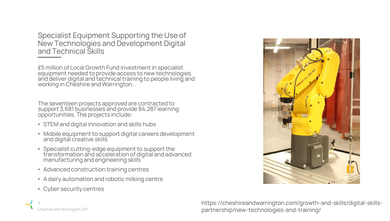**Specialist Equipment Supporting the Use of New Technologies and Development Digital and Technical Skills**

**£5 million of Local Growth Fund investment in specialist equipment needed to provide access to new technologies and deliver digital and technical training to people living and working in Cheshire and Warrington.** 

**The seventeen projects approved are contracted to support 3,681 businesses and provide 84,287 learning opportunities. The projects include:** 

- **STEM and digital innovation and skills hubs**
- **Mobile equipment to support digital careers development and digital creative skills**
- **Specialist cutting-edge equipment to support the transformation and acceleration of digital and advanced manufacturing and engineering skills**
- **Advanced construction training centres**
- **A dairy automation and robotic milking centre**
- **Cyber security centres**

**Cheshire and Warrington LEP**

**9**



**https://cheshireandwarrington.com/growth-and-skills/digital-skillspartnership/new-technologies-and-training/**